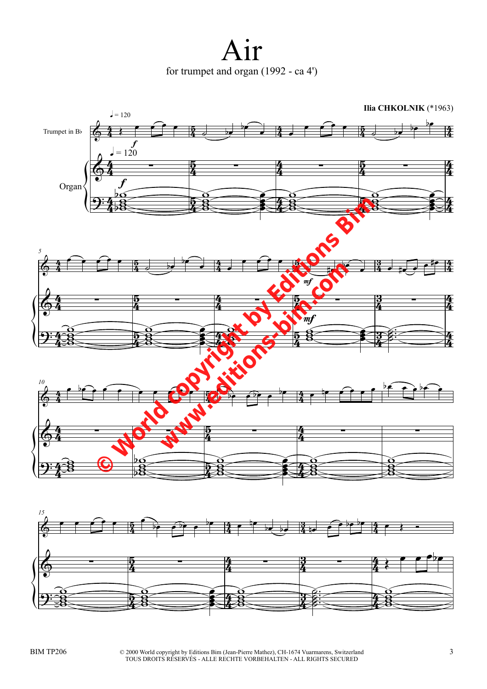Air for trumpet and organ (1992 - ca 4')